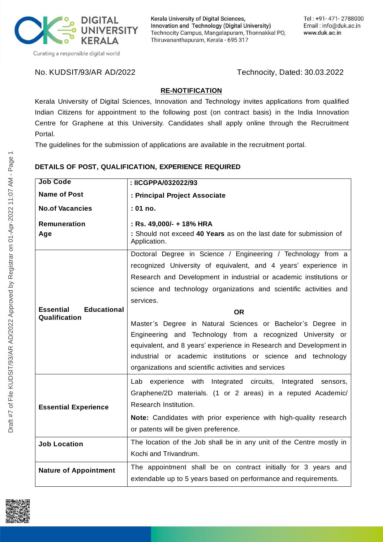

Kerala University of Digital Sciences, Innovation and Technology (Digital University) Technocity Campus, Mangalapuram, Thonnakkal PO, Thiruvananthapuram, Kerala - 695 317

No. KUDSIT/93/AR AD/2022 Technocity, Dated: 30.03.2022

## **RE-NOTIFICATION**

Kerala University of Digital Sciences, Innovation and Technology invites applications from qualified Indian Citizens for appointment to the following post (on contract basis) in the India Innovation Centre for Graphene at this University. Candidates shall apply online through the Recruitment Portal.

The guidelines for the submission of applications are available in the recruitment portal.

#### **DETAILS OF POST, QUALIFICATION, EXPERIENCE REQUIRED**

| <b>Job Code</b>                                         | : IICGPPA/032022/93                                                                |
|---------------------------------------------------------|------------------------------------------------------------------------------------|
| <b>Name of Post</b>                                     | : Principal Project Associate                                                      |
| <b>No.of Vacancies</b>                                  | : 01 no.                                                                           |
| <b>Remuneration</b>                                     | : Rs. 49,000/- + 18% HRA                                                           |
| Age                                                     | : Should not exceed 40 Years as on the last date for submission of<br>Application. |
| <b>Essential</b><br><b>Educational</b><br>Qualification | Doctoral Degree in Science / Engineering / Technology from a                       |
|                                                         | recognized University of equivalent, and 4 years' experience in                    |
|                                                         | Research and Development in industrial or academic institutions or                 |
|                                                         | science and technology organizations and scientific activities and                 |
|                                                         | services.                                                                          |
|                                                         | <b>OR</b>                                                                          |
|                                                         | Master's Degree in Natural Sciences or Bachelor's Degree in                        |
|                                                         | Engineering and Technology from a recognized University or                         |
|                                                         | equivalent, and 8 years' experience in Research and Development in                 |
|                                                         | industrial or academic institutions or science and technology                      |
|                                                         | organizations and scientific activities and services                               |
| <b>Essential Experience</b>                             | Lab experience with Integrated circuits, Integrated<br>sensors,                    |
|                                                         | Graphene/2D materials. (1 or 2 areas) in a reputed Academic/                       |
|                                                         | Research Institution.                                                              |
|                                                         | Note: Candidates with prior experience with high-quality research                  |
|                                                         | or patents will be given preference.                                               |
| <b>Job Location</b>                                     | The location of the Job shall be in any unit of the Centre mostly in               |
|                                                         | Kochi and Trivandrum.                                                              |
|                                                         |                                                                                    |
| <b>Nature of Appointment</b>                            | The appointment shall be on contract initially for 3 years and                     |
|                                                         | extendable up to 5 years based on performance and requirements.                    |

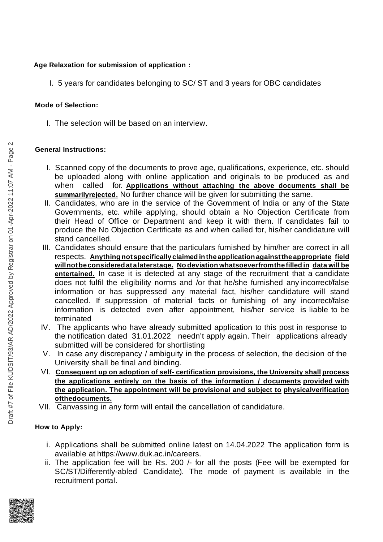## Age Relaxation for submission of application:

I. 5 years for candidates belonging to SC/ ST and 3 years for OBC candidates

### **Mode of Selection:**

I. The selection will be based on an interview.

# General Instructions:

- I. Scanned copy of the documents to prove age, qualifications, experience, etc. should be uploaded along with online application and originals to be produced as and when called for. Applications without attaching the above documents shall be summarilyrejected. No further chance will be given for submitting the same.
- II. Candidates, who are in the service of the Government of India or any of the State Governments, etc. while applying, should obtain a No Objection Certificate from their Head of Office or Department and keep it with them. If candidates fail to produce the No Objection Certificate as and when called for, his/her candidature will stand cancelled.
- III. Candidates should ensure that the particulars furnished by him/her are correct in all respects. Anything not specifically claimed in the application against the appropriate field <u>will not be considered at a laterstage. No deviation whatsoeverfromthe filled in  $\,$  data will be</u> entertained. In case it is detected at any stage of the recruitment that a candidate does not fulfil the eligibility norms and /or that he/she furnished any incorrect/false information or has suppressed any material fact, his/her candidature will stand cancelled. If suppression of material facts or furnishing of any incorrect/false information is detected even after appointment, his/her service is liable to be terminated
- IV. The applicants who have already submitted application to this post in response to the notification dated 31.01.2022 needn't apply again. Their applications already submitted will be considered for shortlisting
- V. In case any discrepancy / ambiguity in the process of selection, the decision of the University shall be final and binding.
- VI. **Consequent up on adoption of self- certification provisions, the University shall process the applications entirely on the basis of the information / documents provided with the application. The appointment will be provisional and subject to physicalverification ofthedocuments.**
- VII. Canvassing in any form will entail the cancellation of candidature.

# **How to Apply:**

- i. Applications shall be submitted online latest on 14.04.2022 The application form is available at https://www.duk.ac.in/careers.
- ii. The application fee will be Rs. 200 /- for all the posts (Fee will be exempted for SC/ST/Differently-abled Candidate). The mode of payment is available in the recruitment portal.